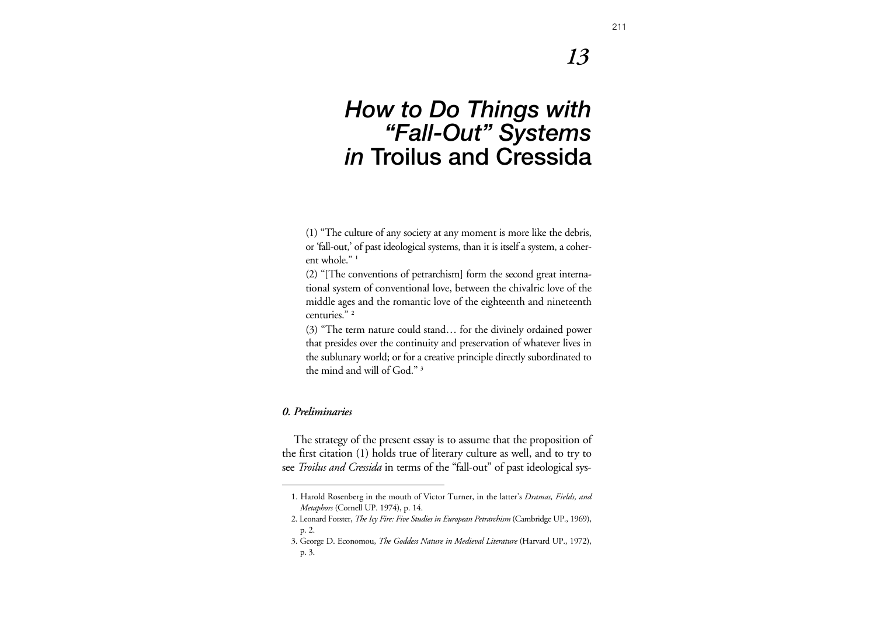# *13*

# *How to Do Things with "Fall-Out" Systems in* **Troilus and Cressida**

(1) "The culture of any society at any moment is more like the debris, or 'fall-out,' of past ideological systems, than it is itself a system, a coherent whole." **<sup>1</sup>**

(2) "[The conventions of petrarchism] form the second great international system of conventional love, between the chivalric love of the middle ages and the romantic love of the eighteenth and nineteenth centuries." **<sup>2</sup>**

(3) "The term nature could stand… for the divinely ordained power that presides over the continuity and preservation of whatever lives in the sublunary world; or for a creative principle directly subordinated to the mind and will of God." **<sup>3</sup>**

### *0. Preliminaries*

The strategy of the present essay is to assume that the proposition of the first citation (1) holds true of literary culture as well, and to try to see *Troilus and Cressida* in terms of the "fall-out" of past ideological sys-

<sup>1.</sup> Harold Rosenberg in the mouth of Victor Turner, in the latter's *Dramas, Fields, and Metaphors* (Cornell UP. 1974), p. 14.

<sup>2.</sup> Leonard Forster, *The Icy Fire: Five Studies in European Petrarchism* (Cambridge UP., 1969), p. 2.

<sup>3.</sup> George D. Economou, *The Goddess Nature in Medieval Literature* (Harvard UP., 1972), p. 3.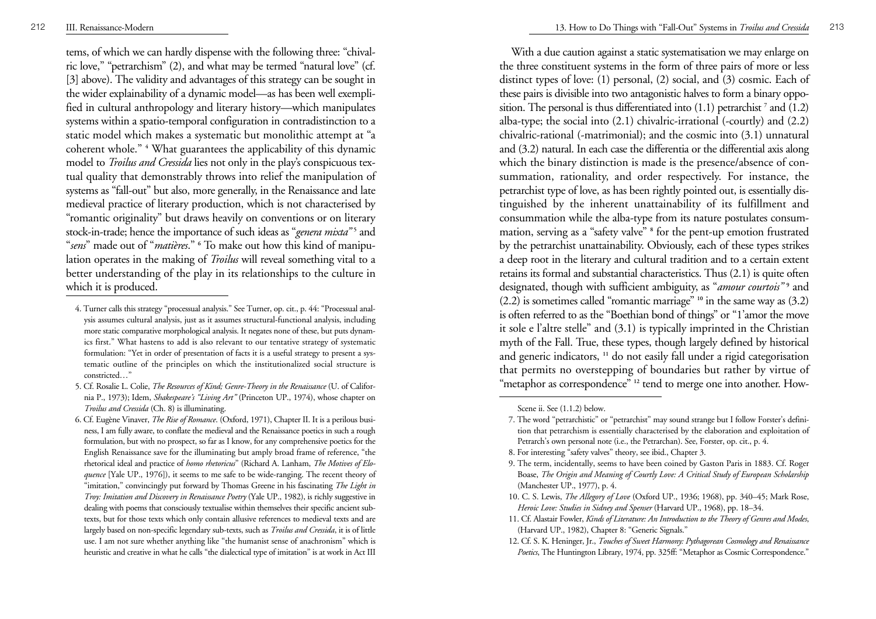tems, of which we can hardly dispense with the following three: "chival ric love," "petrarchism" (2), and what may be termed "natural love" (cf. [3] above). The validity and advantages of this strategy can be sought in the wider explainability of a dynamic model—as has been well exempli fied in cultural anthropology and literary history—which manipulates systems within a spatio-temporal configuration in contradistinction to a static model which makes a systematic but monolithic attempt at "a coherent whole." **<sup>4</sup>** What guarantees the applicability of this dynamic model to *Troilus and Cressida* lies not only in the play's conspicuous tex tual quality that demonstrably throws into relief the manipulation of systems as "fall-out" but also, more generally, in the Renaissance and late medieval practice of literary production, which is not characterised by "romantic originality" but draws heavily on conventions or on literary stock-in-trade; hence the importance of such ideas as "*genera mixta*"<sup>5</sup> and " *sens*" made out of "*matières*." **<sup>6</sup>** To make out how this kind of manipulation operates in the making of *Troilus* will reveal something vital to a better understanding of the play in its relationships to the culture in which it is produced.

- 4. Turner calls this strategy "processual analysis." See Turner, op. cit., p. 44: "Processual analysis assumes cultural analysis, just as it assumes structural-functional analysis, including more static comparative morphological analysis. It negates none of these, but puts dynamics first." What hastens to add is also relevant to our tentative strategy of systematic formulation: "Yet in order of presentation of facts it is a useful strategy to present a systematic outline of the principles on which the institutionalized social structure is constricted…"
- 5. Cf. Rosalie L. Colie, *The Resources of Kind; Genre-Theory in the Renaissance* (U. of California P., 1973); Idem, *Shakespeare's "Living Art"* (Princeton UP., 1974), whose chapter on *Troilus and Cressida* (Ch. 8) is illuminating.
- 6. Cf. Eugène Vinaver, *The Rise of Romance*. (Oxford, 1971), Chapter II. It is a perilous business, I am fully aware, to conflate the medieval and the Renaissance poetics in such a rough formulation, but with no prospect, so far as I know, for any comprehensive poetics for the English Renaissance save for the illuminating but amply broad frame of reference, "the rhetorical ideal and practice of *homo rhetoricus*" (Richard A. Lanham, *The Motives of Eloquence* [Yale UP., 1976]), it seems to me safe to be wide-ranging. The recent theory of "imitation," convincingly put forward by Thomas Greene in his fascinating *The Light in Troy: Imitation and Discovery in Renaissance Poetry* (Yale UP., 1982), is richly suggestive in dealing with poems that consciously textualise within themselves their specific ancient subtexts, but for those texts which only contain allusive references to medieval texts and are largely based on non-specific legendary sub-texts, such as *Troilus and Cressida*, it is of little use. I am not sure whether anything like "the humanist sense of anachronism" which is heuristic and creative in what he calls "the dialectical type of imitation" is at work in Act III

With a due caution against a static systematisation we may enlarge on the three constituent systems in the form of three pairs of more or less distinct types of love: (1) personal, (2) social, and (3) cosmic. Each of these pairs is divisible into two antagonistic halves to form a binary opposition. The personal is thus differentiated into  $(1.1)$  petrarchist<sup>7</sup> and  $(1.2)$ alba-type; the social into (2.1) chivalric-irrational (-courtly) and (2.2) chivalric-rational (-matrimonial); and the cosmic into (3.1) unnatural and (3.2) natural. In each case the differentia or the differential axis along which the binary distinction is made is the presence/absence of consummation, rationality, and order respectively. For instance, the petrarchist type of love, as has been rightly pointed out, is essentially distinguished by the inherent unattainability of its fulfillment and consummation while the alba-type from its nature postulates consummation, serving as a "safety valve" **<sup>8</sup>** for the pent-up emotion frustrated by the petrarchist unattainability. Obviously, each of these types strikes a deep root in the literary and cultural tradition and to a certain extent retains its formal and substantial characteristics. Thus (2.1) is quite often designated, though with sufficient ambiguity, as "*amour courtois*"<sup>9</sup> and (2.2) is sometimes called "romantic marriage" **<sup>10</sup>** in the same way as (3.2) is often referred to as the "Boethian bond of things" or "1'amor the move it sole e l'altre stelle" and (3.1) is typically imprinted in the Christian myth of the Fall. True, these types, though largely defined by historical and generic indicators, **<sup>11</sup>** do not easily fall under a rigid categorisation that permits no overstepping of boundaries but rather by virtue of "metaphor as correspondence" <sup>12</sup> tend to merge one into another. How-

Scene ii. See (1.1.2) below.

- 8. For interesting "safety valves" theory, see ibid., Chapter 3.
- 9. The term, incidentally, seems to have been coined by Gaston Paris in 1883. Cf. Roger Boase, *The Origin and Meaning of Courtly Love: A Critical Study of European Scholarship* (Manchester UP., 1977), p. 4.
- 10. C. S. Lewis, *The Allegory of Love* (Oxford UP., 1936; 1968), pp. 340–45; Mark Rose, *Heroic Love: Studies in Sidney and Spenser* (Harvard UP., 1968), pp. 18–34.
- 11. Cf. Alastair Fowler, *Kinds of Literature: An Introduction to the Theory of Genres and Modes*, (Harvard UP., 1982), Chapter 8: "Generic Signals."
- 12. Cf. S. K. Heninger, Jr., *Touches of Sweet Harmony: Pythagorean Cosmology and Renaissance Poetics*, The Huntington Library, 1974, pp. 325ff: "Metaphor as Cosmic Correspondence."

<sup>7.</sup> The word "petrarchistic" or "petrarchist" may sound strange but I follow Forster's definition that petrarchism is essentially characterised by the elaboration and exploitation of Petrarch's own personal note (i.e., the Petrarchan). See, Forster, op. cit., p. 4.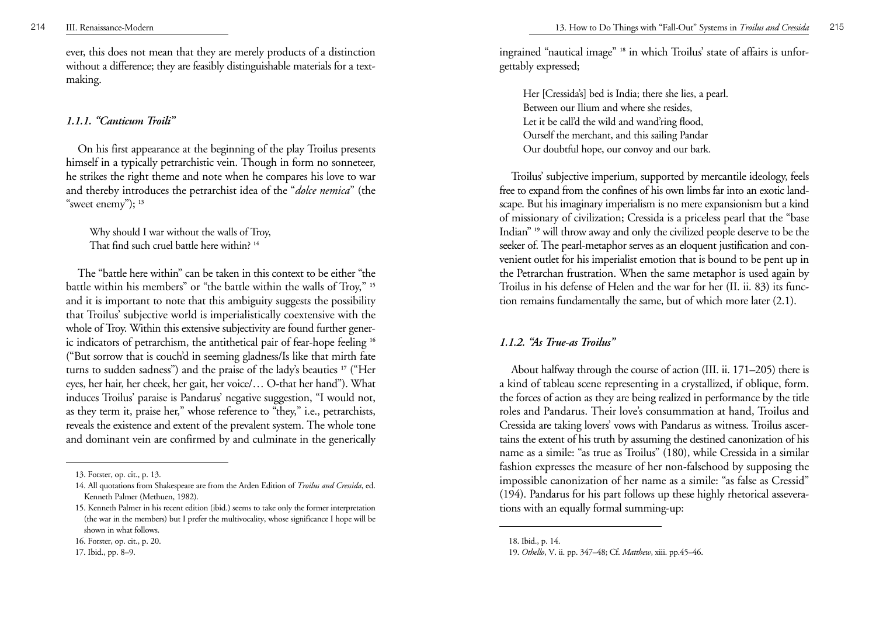ever, this does not mean that they are merely products of a distinction without a difference; they are feasibly distinguishable materials for a textmaking.

# *1.1.1. "Canticum Troili"*

On his first appearance at the beginning of the play Troilus presents himself in a typically petrarchistic vein. Though in form no sonneteer, he strikes the right theme and note when he compares his love to war and thereby introduces the petrarchist idea of the "*dolce nemica*" (the "s weet enemy"); **<sup>13</sup>**

Why should I war without the walls of Troy, That find such cruel battle here within? **<sup>14</sup>**

The "battle here within" can be taken in this context to be either "the battle within his members" or "the battle within the walls of Troy," **<sup>15</sup>** and it is important to note that this ambiguity suggests the possibility that Troilus' subjective world is imperialistically coextensive with the whole of Troy. Within this extensive subjectivity are found further generic indicators of petrarchism, the antithetical pair of fear-hope feeling **<sup>16</sup>** ("But sorrow that is couch'd in seeming gladness/Is like that mirth fate turns to sudden sadness") and the praise of the lady's beauties **<sup>17</sup>** ("Her eyes, her hair, her cheek, her gait, her voice/… O-that her hand"). What induces Troilus' paraise is Pandarus' negative suggestion, "I would not, as they term it, praise her," whose reference to "they," i.e., petrarchists, reveals the existence and extent of the prevalent system. The whole tone and dominant vein are confirmed by and culminate in the generically ingrained "nautical image" **<sup>18</sup>** in which Troilus' state of affairs is unforgettably expressed;

Her [Cressida's] bed is India; there she lies, a pearl. Between our Ilium and where she resides, Let it be call'd the wild and wand'ring flood, Ourself the merchant, and this sailing Pandar Our doubtful hope, our convoy and our bark.

Troilus' subjective imperium, supported by mercantile ideology, feels free to expand from the confines of his own limbs far into an exotic landscape. But his imaginary imperialism is no mere expansionism but a kind of missionary of civilization; Cressida is a priceless pearl that the "base Indian" **<sup>19</sup>** will throw away and only the civilized people deserve to be the seeker of. The pearl-metaphor serves as an eloquent justification and convenient outlet for his imperialist emotion that is bound to be pent up in the Petrarchan frustration. When the same metaphor is used again by Troilus in his defense of Helen and the war for her (II. ii. 83) its function remains fundamentally the same, but of which more later (2.1).

# *1.1.2. "As True-as Troilus"*

About halfway through the course of action (III. ii. 171–205) there is a kind of tableau scene representing in a crystallized, if oblique, form. the forces of action as they are being realized in performance by the title roles and Pandarus. Their love's consummation at hand, Troilus and Cressida are taking lovers' vows with Pandarus as witness. Troilus ascertains the extent of his truth by assuming the destined canonization of his name as a simile: "as true as Troilus" (180), while Cressida in a similar fashion expresses the measure of her non-falsehood by supposing the impossible canonization of her name as a simile: "as false as Cressid" (194). Pandarus for his part follows up these highly rhetorical asseverations with an equally formal summing-up:

<sup>13.</sup> Forster, op. cit., p. 13.

<sup>14.</sup> All quotations from Shakespeare are from the Arden Edition of *Troilus and Cressida*, ed. Kenneth Palmer (Methuen, 1982).

<sup>15.</sup> Kenneth Palmer in his recent edition (ibid.) seems to take only the former interpretation (the war in the members) but I prefer the multivocality, whose significance I hope will be shown in what follows.

<sup>16.</sup> Forster, op. cit., p. 20.

<sup>17.</sup> Ibid., pp. 8–9.

<sup>18.</sup> Ibid., p. 14.

<sup>19.</sup> *Othello*, V. ii. pp. 347–48; Cf. *Matthew*, xiii. pp.45–46.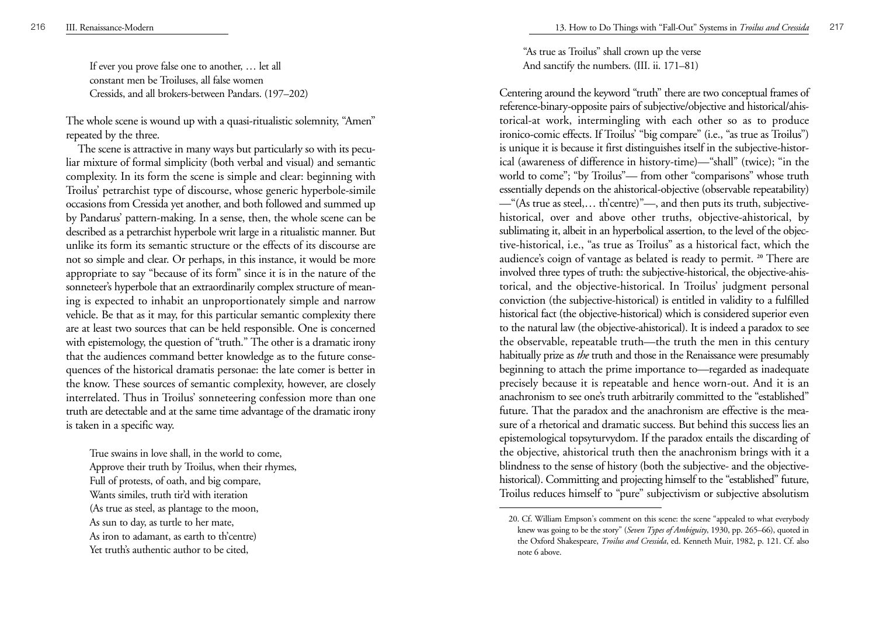216 III. Renaissance-Modern

If ever you prove false one to another, … let all constant men be Troiluses, all false women Cressids, and all brokers-between Pandars. (197–202)

The whole scene is wound up with a quasi-ritualistic solemnity, "Amen" repeated by the three.

The scene is attractive in many ways but particularly so with its peculiar mixture of formal simplicity (both verbal and visual) and semantic complexity. In its form the scene is simple and clear: beginning with Troilus' petrarchist type of discourse, whose generic hyperbole-simile occasions from Cressida yet another, and both followed and summed up by Pandarus' pattern-making. In a sense, then, the whole scene can be described as a petrarchist hyperbole writ large in a ritualistic manner. But unlike its form its semantic structure or the effects of its discourse are not so simple and clear. Or perhaps, in this instance, it would be more appropriate to say "because of its form" since it is in the nature of the sonneteer's hyperbole that an extraordinarily complex structure of meaning is expected to inhabit an unproportionately simple and narrow vehicle. Be that as it may, for this particular semantic complexity there are at least two sources that can be held responsible. One is concerned with epistemology, the question of "truth." The other is a dramatic irony that the audiences command better knowledge as to the future consequences of the historical dramatis personae: the late comer is better in the know. These sources of semantic complexity, however, are closely interrelated. Thus in Troilus' sonneteering confession more than one truth are detectable and at the same time advantage of the dramatic irony is taken in a specific way.

True swains in love shall, in the world to come, Approve their truth by Troilus, when their rhymes, Full of protests, of oath, and big compare, Wants similes, truth tir'd with iteration (As true as steel, as plantage to the moon, As sun to day, as turtle to her mate, As iron to adamant, as earth to th'centre) Yet truth's authentic author to be cited,

"As true as Troilus" shall crown up the verse And sanctify the numbers. (III. ii. 171–81)

Centering around the keyword "truth" there are two conceptual frames of reference-binary-opposite pairs of subjective/objective and historical/ahistorical-at work, intermingling with each other so as to produce ironico-comic effects. If Troilus' "big compare" (i.e., "as true as Troilus") is unique it is because it first distinguishes itself in the subjective-historical (awareness of difference in history-time)—"shall" (twice); "in the world to come"; "by Troilus"— from other "comparisons" whose truth essentially depends on the ahistorical-objective (observable repeatability) —"(As true as steel,… th'centre)"—, and then puts its truth, subjectivehistorical, over and above other truths, objective-ahistorical, by sublimating it, albeit in an hyperbolical assertion, to the level of the objective-historical, i.e., "as true as Troilus" as a historical fact, which the audience's coign of vantage as belated is ready to permit. **<sup>20</sup>** There are involved three types of truth: the subjective-historical, the objective-ahistorical, and the objective-historical. In Troilus' judgment personal conviction (the subjective-historical) is entitled in validity to a fulfilled historical fact (the objective-historical) which is considered superior even to the natural law (the objective-ahistorical). It is indeed a paradox to see the observable, repeatable truth—the truth the men in this century habitually prize as *the* truth and those in the Renaissance were presumably beginning to attach the prime importance to—regarded as inadequate precisely because it is repeatable and hence worn-out. And it is an anachronism to see one's truth arbitrarily committed to the "established" future. That the paradox and the anachronism are effective is the measure of a rhetorical and dramatic success. But behind this success lies an epistemological topsyturvydom. If the paradox entails the discarding of the objective, ahistorical truth then the anachronism brings with it a blindness to the sense of history (both the subjective- and the objectivehistorical). Committing and projecting himself to the "established" future, Troilus reduces himself to "pure" subjectivism or subjective absolutism

<sup>20.</sup> Cf. William Empson's comment on this scene: the scene "appealed to what everybody knew was going to be the story" (*Seven Types of Ambiguity*, 1930, pp. 265–66), quoted in the Oxford Shakespeare, *Troilus and Cressida*, ed. Kenneth Muir, 1982, p. 121. Cf. also note 6 above.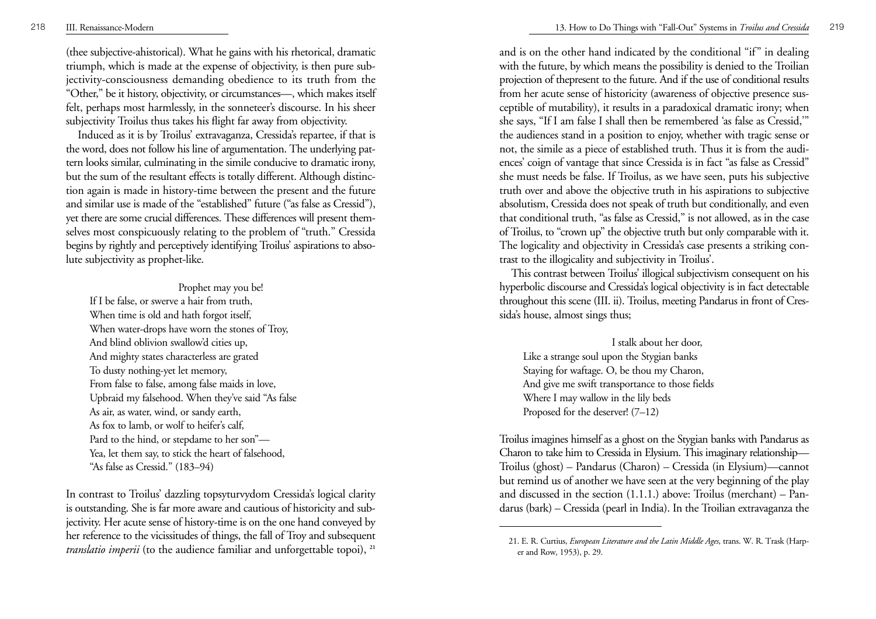(thee subjective-ahistorical). What he gains with his rhetorical, dramatic triumph, which is made at the expense of objectivity, is then pure subjectivity-consciousness demanding obedience to its truth from the "Other," be it history, objectivity, or circumstances—, which makes itself felt, perhaps most harmlessly, in the sonneteer's discourse. In his sheer subjectivity Troilus thus takes his flight far away from objectivity.

Induced as it is by Troilus' extravaganza, Cressida's repartee, if that is the word, does not follow his line of argumentation. The underlying pattern looks similar, culminating in the simile conducive to dramatic irony, but the sum of the resultant effects is totally different. Although distinction again is made in history-time between the present and the future and similar use is made of the "established" future ("as false as Cressid"), yet there are some crucial differences. These differences will present themselves most conspicuously relating to the problem of "truth." Cressida begins by rightly and perceptively identifying Troilus' aspirations to absolute subjectivity as prophet-like.

### Prophet may you be!

If I be false, or swerve a hair from truth, When time is old and hath forgot itself, When water-drops have worn the stones of Troy, And blind oblivion swallow'd cities up, And mighty states characterless are grated To dusty nothing-yet let memory, From false to false, among false maids in love, Upbraid my falsehood. When they've said "As false As air, as water, wind, or sandy earth, As fox to lamb, or wolf to heifer's calf, Pard to the hind, or stepdame to her son"— Yea, let them say, to stick the heart of falsehood, "As false as Cressid." (183–94)

In contrast to Troilus' dazzling topsyturvydom Cressida's logical clarity is outstanding. She is far more aware and cautious of historicity and subjectivity. Her acute sense of history-time is on the one hand conveyed by her reference to the vicissitudes of things, the fall of Troy and subsequent *translatio imperii* (to the audience familiar and unforgettable topoi), <sup>21</sup> 21. E. R. Curtius, *European Literature and the Latin Middle Ages*, trans. W. R. Trask (Harp-*translatio imperii* (to the audience familiar and

and is on the other hand indicated by the conditional "if" in dealing with the future, by which means the possibility is denied to the Troilian projection of thepresent to the future. And if the use of conditional results from her acute sense of historicity (awareness of objective presence susceptible of mutability), it results in a paradoxical dramatic irony; when she says, "If I am false I shall then be remembered 'as false as Cressid,'" the audiences stand in a position to enjoy, whether with tragic sense or not, the simile as a piece of established truth. Thus it is from the audiences' coign of vantage that since Cressida is in fact "as false as Cressid" she must needs be false. If Troilus, as we have seen, puts his subjective truth over and above the objective truth in his aspirations to subjective absolutism, Cressida does not speak of truth but conditionally, and even that conditional truth, "as false as Cressid," is not allowed, as in the case of Troilus, to "crown up" the objective truth but only comparable with it. The logicality and objectivity in Cressida's case presents a striking contrast to the illogicality and subjectivity in Troilus'.

This contrast between Troilus' illogical subjectivism consequent on his hyperbolic discourse and Cressida's logical objectivity is in fact detectable throughout this scene (III. ii). Troilus, meeting Pandarus in front of Cressida's house, almost sings thus;

I stalk about her door, Like a strange soul upon the Stygian banks Staying for waftage. O, be thou my Charon, And give me swift transportance to those fields Where I may wallow in the lily beds Proposed for the deserver! (7–12)

Troilus imagines himself as a ghost on the Stygian banks with Pandarus as Charon to take him to Cressida in Elysium. This imaginary relationship— Troilus (ghost) – Pandarus (Charon) – Cressida (in Elysium)—cannot but remind us of another we have seen at the very beginning of the play and discussed in the section (1.1.1.) above: Troilus (merchant) – Pandarus (bark) – Cressida (pearl in India). In the Troilian extravaganza the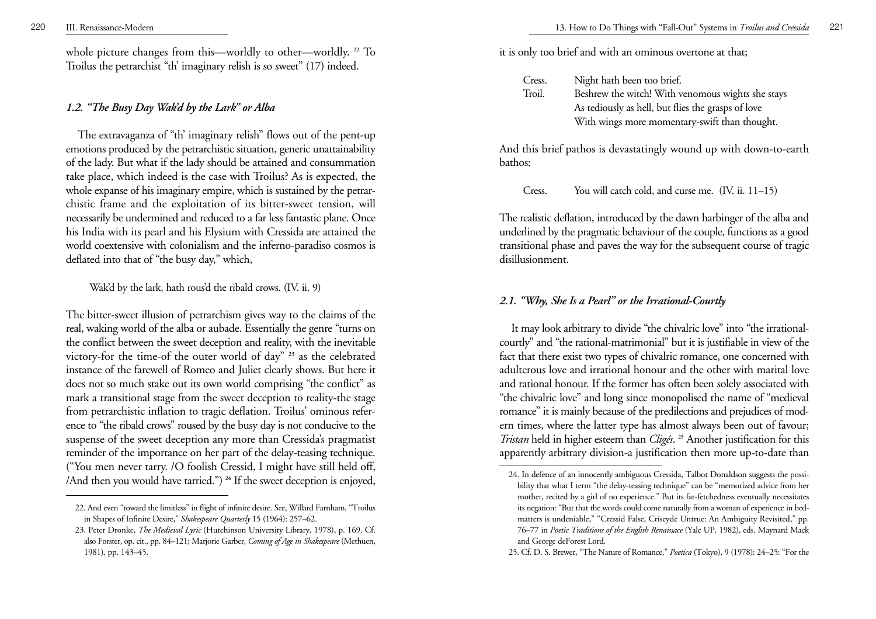whole picture changes from this—worldly to other—worldly. **<sup>22</sup>** To Troilus the petrarchist "th' imaginary relish is so sweet" (17) indeed.

# *1.2. "The Busy Day Wak'd by the Lark" or Alba*

The extravaganza of "th' imaginary relish" flows out of the pent-up emotions produced by the petrarchistic situation, generic unattainability of the lady. But what if the lady should be attained and consummation take place, which indeed is the case with Troilus? As is expected, the whole expanse of his imaginary empire, which is sustained by the petrarchistic frame and the exploitation of its bitter-sweet tension, will necessarily be undermined and reduced to a far less fantastic plane. Once his India with its pearl and his Elysium with Cressida are attained the world coextensive with colonialism and the inferno-paradiso cosmos is deflated into that of "the busy day," which,

Wak'd by the lark, hath rous'd the ribald crows. (IV. ii. 9)

The bitter-sweet illusion of petrarchism gives way to the claims of the real, waking world of the alba or aubade. Essentially the genre "turns on the conflict between the sweet deception and reality, with the inevitable victory-for the time-of the outer world of day" **<sup>23</sup>** as the celebrated instance of the farewell of Romeo and Juliet clearly shows. But here it does not so much stake out its own world comprising "the conflict" as mark a transitional stage from the sweet deception to reality-the stage from petrarchistic inflation to tragic deflation. Troilus' ominous reference to "the ribald crows" roused by the busy day is not conducive to the suspense of the sweet deception any more than Cressida's pragmatist reminder of the importance on her part of the delay-teasing technique. ("You men never tarry. /O foolish Cressid, I might have still held off, /And then you would have tarried.") **<sup>24</sup>** If the sweet deception is enjoyed,

it is only too brief and with an ominous overtone at that;

| Cress. | Night hath been too brief.                         |
|--------|----------------------------------------------------|
| Troil. | Beshrew the witch! With venomous wights she stays  |
|        | As tediously as hell, but flies the grasps of love |
|        | With wings more momentary-swift than thought.      |

And this brief pathos is devastatingly wound up with down-to-earth bathos:

Cress. You will catch cold, and curse me. (IV. ii. 11–15)

The realistic deflation, introduced by the dawn harbinger of the alba and underlined by the pragmatic behaviour of the couple, functions as a good transitional phase and paves the way for the subsequent course of tragic disillusionment.

# *2.1. "Why, She Is a Pearl" or the Irrational-Courtly*

It may look arbitrary to divide "the chivalric love" into "the irrationalcourtly" and "the rational-matrimonial" but it is justifiable in view of the fact that there exist two types of chivalric romance, one concerned with adulterous love and irrational honour and the other with marital love and rational honour. If the former has often been solely associated with "the chivalric love" and long since monopolised the name of "medieval romance" it is mainly because of the predilections and prejudices of modern times, where the latter type has almost always been out of favour; *Tristan* held in higher esteem than *Cligés*. **<sup>25</sup>** Another justification for this apparently arbitrary division-a justification then more up-to-date than

<sup>22.</sup> And even "toward the limitless" in flight of infinite desire. See, Willard Farnham, "Troilus in Shapes of Infinite Desire," *Shakespeare Quarterly* 15 (1964): 257–62.

<sup>23.</sup> Peter Dronke, *The Medieval Lyric* (Hutchinson University Library, 1978), p. 169. Cf. also Forster, op. cit., pp. 84–121; Marjorie Garber, *Coming of Age in Shakespeare* (Methuen, 1981), pp. 143–45.

<sup>24.</sup> In defence of an innocently ambiguous Cressida, Talbot Donaldson suggests the possibility that what I term "the delay-teasing technique" can be "memorized advice from her mother, recited by a girl of no experience." But its far-fetchedness eventually necessitates its negation: "But that the words could come naturally from a woman of experience in bedmatters is undeniable," "Cressid False, Criseyde Untrue: An Ambiguity Revisited," pp. 76–77 in *Poetic Traditions of the English Renaissace* (Yale UP. 1982), eds. Maynard Mack and George deForest Lord.

<sup>25.</sup> Cf. D. S. Brewer, "The Nature of Romance," *Poetica* (Tokyo), 9 (1978): 24–25: "For the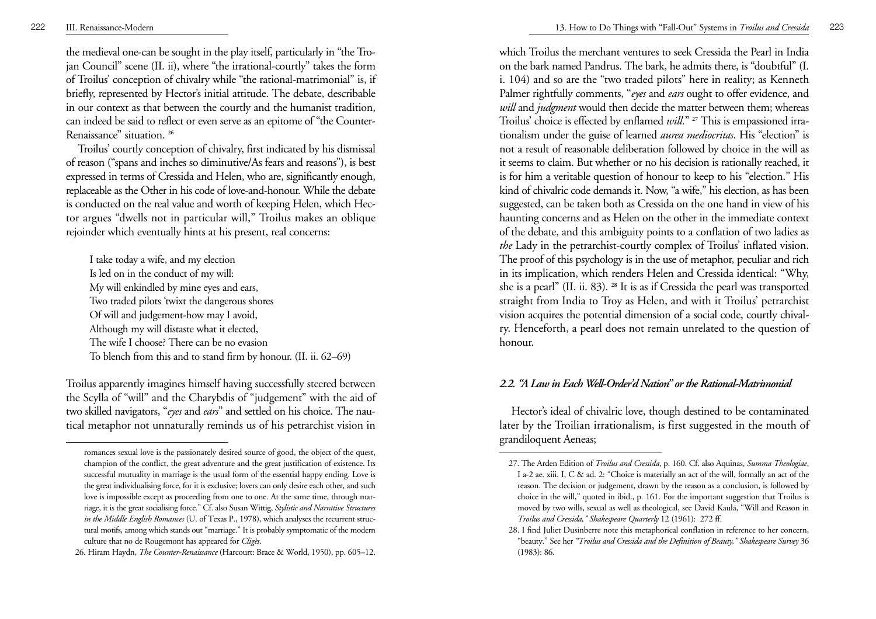the medieval one-can be sought in the play itself, particularly in "the Trojan Council" scene (II. ii), where "the irrational-courtly" takes the form of Troilus' conception of chivalry while "the rational-matrimonial" is, if briefly, represented by Hector's initial attitude. The debate, describable in our context as that between the courtly and the humanist tradition, can indeed be said to reflect or even serve as an epitome of "the Counter-Renaissance" situation. **<sup>26</sup>**

Troilus' courtly conception of chivalry, first indicated by his dismissal of reason ("spans and inches so diminutive/As fears and reasons"), is best expressed in terms of Cressida and Helen, who are, significantly enough, replaceable as the Other in his code of love-and-honour. While the debate is conducted on the real value and worth of keeping Helen, which Hector argues "dwells not in particular will," Troilus makes an oblique rejoinder which eventually hints at his present, real concerns:

I take today a wife, and my election Is led on in the conduct of my will: My will enkindled by mine eyes and ears, Two traded pilots 'twixt the dangerous shores Of will and judgement-how may I avoid, Although my will distaste what it elected, The wife I choose? There can be no evasion To blench from this and to stand firm by honour. (II. ii. 62–69)

Troilus apparently imagines himself having successfully steered between the Scylla of "will" and the Charybdis of "judgement" with the aid of two skilled navigators, "*eyes* and *ears*" and settled on his choice. The nautical metaphor not unnaturally reminds us of his petrarchist vision in

which Troilus the merchant ventures to seek Cressida the Pearl in India on the bark named Pandrus. The bark, he admits there, is "doubtful" (I. i. 104) and so are the "two traded pilots" here in reality; as Kenneth Palmer rightfully comments, "*eyes* and *ears* ought to offer evidence, and *will* and *judgment* would then decide the matter between them; whereas Troilus' choice is effected by enflamed *will*." **<sup>27</sup>** This is empassioned irrationalism under the guise of learned *aurea mediocritas*. His "election" is not a result of reasonable deliberation followed by choice in the will as it seems to claim. But whether or no his decision is rationally reached, it is for him a veritable question of honour to keep to his "election." His kind of chivalric code demands it. Now, "a wife," his election, as has been suggested, can be taken both as Cressida on the one hand in view of his haunting concerns and as Helen on the other in the immediate context of the debate, and this ambiguity points to a conflation of two ladies as *the* Lady in the petrarchist-courtly complex of Troilus' inflated vision. The proof of this psychology is in the use of metaphor, peculiar and rich in its implication, which renders Helen and Cressida identical: "Why, she is a pearl" (II. ii. 83). **<sup>28</sup>** It is as if Cressida the pearl was transported straight from India to Troy as Helen, and with it Troilus' petrarchist vision acquires the potential dimension of a social code, courtly chivalry. Henceforth, a pearl does not remain unrelated to the question of honour.

# *2.2. "A Law in Each Well-Order'd Nation" or the Rational-Matrimonial*

Hector's ideal of chivalric love, though destined to be contaminated later by the Troilian irrationalism, is first suggested in the mouth of grandiloquent Aeneas;

romances sexual love is the passionately desired source of good, the object of the quest, champion of the conflict, the great adventure and the great justification of existence. Its successful mutuality in marriage is the usual form of the essential happy ending. Love is the great individualising force, for it is exclusive; lovers can only desire each other, and such love is impossible except as proceeding from one to one. At the same time, through marriage, it is the great socialising force." Cf. also Susan Wittig, *Stylistic and Narrative Structures in the Middle English Romances* (U. of Texas P., 1978), which analyses the recurrent structural motifs, among which stands out "marriage." It is probably symptomatic of the modern culture that no de Rougemont has appeared for *Cligès*.

<sup>26.</sup> Hiram Haydn, *The Counter-Renaissance* (Harcourt: Brace & World, 1950), pp. 605–12.

<sup>27.</sup> The Arden Edition of *Troilus and Cressida*, p. 160. Cf. also Aquinas, *Summa Theologiae*, I a-2 ae. xiii. I, C & ad. 2: "Choice is materially an act of the will, formally an act of the reason. The decision or judgement, drawn by the reason as a conclusion, is followed by choice in the will," quoted in ibid., p. 161. For the important suggestion that Troilus is moved by two wills, sexual as well as theological, see David Kaula, "Will and Reason in *Troilus and Cressida," Shakespeare Quarterly* 12 (1961): 272 ff.

<sup>28.</sup> I find Juliet Dusinberre note this metaphorical conflation in reference to her concern, "beauty." See her *"Troilus and Cressida and the Definition of Beauty," Shakespeare Survey* 36 (1983): 86.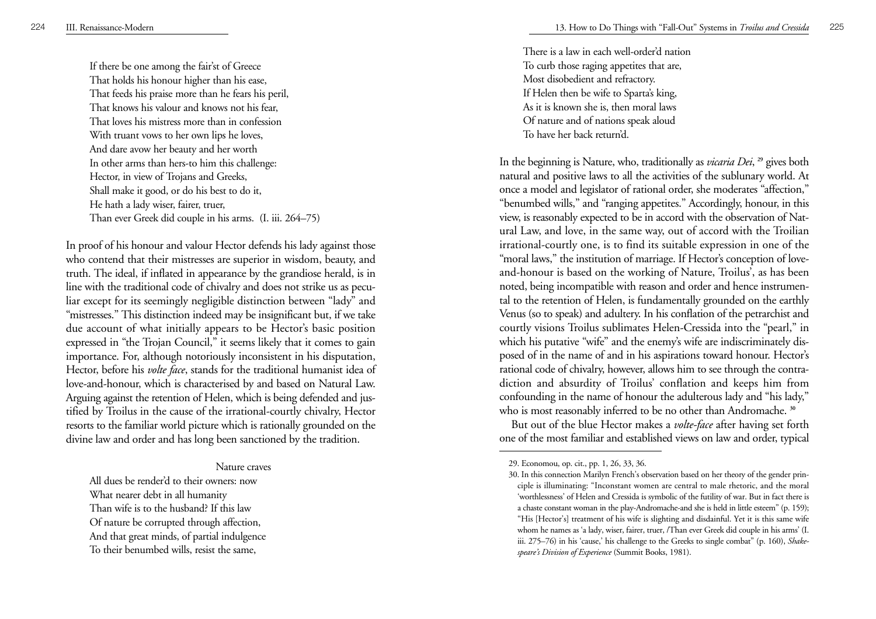If there be one among the fair'st of Greece That holds his honour higher than his ease, That feeds his praise more than he fears his peril, That knows his valour and knows not his fear, That loves his mistress more than in confession With truant vows to her own lips he loves, And dare avow her beauty and her worth In other arms than hers-to him this challenge: Hector, in view of Trojans and Greeks, Shall make it good, or do his best to do it, He hath a lady wiser, fairer, truer, Than ever Greek did couple in his arms. (I. iii. 264–75)

In proof of his honour and valour Hector defends his lady against those who contend that their mistresses are superior in wisdom, beauty, and truth. The ideal, if inflated in appearance by the grandiose herald, is in line with the traditional code of chivalry and does not strike us as peculiar except for its seemingly negligible distinction between "lady" and "mistresses." This distinction indeed may be insignificant but, if we take due account of what initially appears to be Hector's basic position expressed in "the Trojan Council," it seems likely that it comes to gain importance. For, although notoriously inconsistent in his disputation, Hector, before his *volte face*, stands for the traditional humanist idea of love-and-honour, which is characterised by and based on Natural Law. Arguing against the retention of Helen, which is being defended and justified by Troilus in the cause of the irrational-courtly chivalry, Hector resorts to the familiar world picture which is rationally grounded on the divine law and order and has long been sanctioned by the tradition.

#### Nature craves

All dues be render'd to their owners: now

What nearer debt in all humanity

Than wife is to the husband? If this law

Of nature be corrupted through affection,

And that great minds, of partial indulgence

To their benumbed wills, resist the same,

There is a law in each well-order'd nation To curb those raging appetites that are, Most disobedient and refractory. If Helen then be wife to Sparta's king, As it is known she is, then moral laws Of nature and of nations speak aloud To have her back return'd.

In the beginning is Nature, who, traditionally as *vicaria Dei*, **<sup>29</sup>** gives both natural and positive laws to all the activities of the sublunary world. At once a model and legislator of rational order, she moderates "affection," "benumbed wills," and "ranging appetites." Accordingly, honour, in this view, is reasonably expected to be in accord with the observation of Natural Law, and love, in the same way, out of accord with the Troilian irrational-courtly one, is to find its suitable expression in one of the "moral laws," the institution of marriage. If Hector's conception of loveand-honour is based on the working of Nature, Troilus', as has been noted, being incompatible with reason and order and hence instrumental to the retention of Helen, is fundamentally grounded on the earthly Venus (so to speak) and adultery. In his conflation of the petrarchist and courtly visions Troilus sublimates Helen-Cressida into the "pearl," in which his putative "wife" and the enemy's wife are indiscriminately disposed of in the name of and in his aspirations toward honour. Hector's rational code of chivalry, however, allows him to see through the contradiction and absurdity of Troilus' conflation and keeps him from confounding in the name of honour the adulterous lady and "his lady," who is most reasonably inferred to be no other than Andromache. **<sup>30</sup>**

But out of the blue Hector makes a *volte-face* after having set forth one of the most familiar and established views on law and order, typical

<sup>29.</sup> Economou, op. cit., pp. 1, 26, 33, 36.

<sup>30.</sup> In this connection Marilyn French's observation based on her theory of the gender principle is illuminating: "Inconstant women are central to male rhetoric, and the moral 'worthlessness' of Helen and Cressida is symbolic of the futility of war. But in fact there is a chaste constant woman in the play-Andromache-and she is held in little esteem" (p. 159); "His [Hector's] treatment of his wife is slighting and disdainful. Yet it is this same wife whom he names as 'a lady, wiser, fairer, truer, /Than ever Greek did couple in his arms' (I. iii. 275–76) in his 'cause,' his challenge to the Greeks to single combat" (p. 160), *Shakespeare's Division of Experience* (Summit Books, 1981).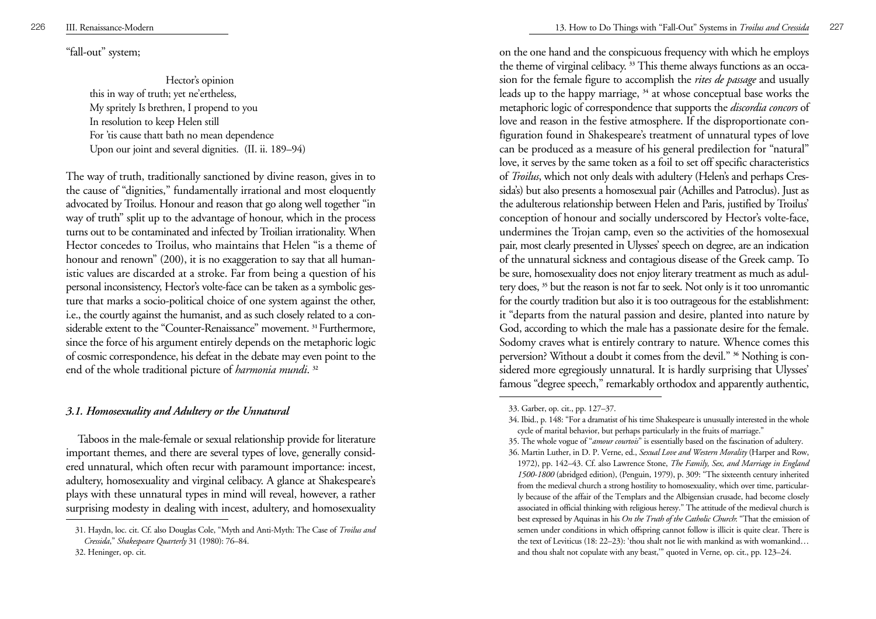"fall-out" system;

Hector's opinion this in way of truth; yet ne'ertheless, My spritely Is brethren, I propend to you In resolution to keep Helen still For 'tis cause thatt bath no mean dependence Upon our joint and several dignities. (II. ii. 189–94)

The way of truth, traditionally sanctioned by divine reason, gives in to the cause of "dignities," fundamentally irrational and most eloquently advocated by Troilus. Honour and reason that go along well together "in way of truth" split up to the advantage of honour, which in the process turns out to be contaminated and infected by Troilian irrationality. When Hector concedes to Troilus, who maintains that Helen "is a theme of honour and renown" (200), it is no exaggeration to say that all humanistic values are discarded at a stroke. Far from being a question of his personal inconsistency, Hector's volte-face can be taken as a symbolic gesture that marks a socio-political choice of one system against the other, i.e., the courtly against the humanist, and as such closely related to a considerable extent to the "Counter-Renaissance" movement. **31** Furthermore, since the force of his argument entirely depends on the metaphoric logic of cosmic correspondence, his defeat in the debate may even point to the end of the whole traditional picture of *harmonia mundi*. **<sup>32</sup>**

# *3.1. Homosexuality and Adultery or the Unnatural*

Taboos in the male-female or sexual relationship provide for literature important themes, and there are several types of love, generally considered unnatural, which often recur with paramount importance: incest, adultery, homosexuality and virginal celibacy. A glance at Shakespeare's plays with these unnatural types in mind will reveal, however, a rather surprising modesty in dealing with incest, adultery, and homosexuality

on the one hand and the conspicuous frequency with which he employs the theme of virginal celibacy. **<sup>33</sup>** This theme always functions as an occasion for the female figure to accomplish the *rites de passage* and usually leads up to the happy marriage, **<sup>34</sup>** at whose conceptual base works the metaphoric logic of correspondence that supports the *discordia concors* of love and reason in the festive atmosphere. If the disproportionate configuration found in Shakespeare's treatment of unnatural types of love can be produced as a measure of his general predilection for "natural" love, it serves by the same token as a foil to set off specific characteristics of *Troilus*, which not only deals with adultery (Helen's and perhaps Cressida's) but also presents a homosexual pair (Achilles and Patroclus). Just as the adulterous relationship between Helen and Paris, justified by Troilus' conception of honour and socially underscored by Hector's volte-face, undermines the Trojan camp, even so the activities of the homosexual pair, most clearly presented in Ulysses' speech on degree, are an indication of the unnatural sickness and contagious disease of the Greek camp. To be sure, homosexuality does not enjoy literary treatment as much as adultery does, **<sup>35</sup>** but the reason is not far to seek. Not only is it too unromantic for the courtly tradition but also it is too outrageous for the establishment: it "departs from the natural passion and desire, planted into nature by God, according to which the male has a passionate desire for the female. Sodomy craves what is entirely contrary to nature. Whence comes this perversion? Without a doubt it comes from the devil." **<sup>36</sup>** Nothing is considered more egregiously unnatural. It is hardly surprising that Ulysses' famous "degree speech," remarkably orthodox and apparently authentic,

<sup>31.</sup> Haydn, loc. cit. Cf. also Douglas Cole, "Myth and Anti-Myth: The Case of *Troilus and Cressida*," *Shakespeare Quarterly* 31 (1980): 76–84.

<sup>32.</sup> Heninger, op. cit.

<sup>33.</sup> Garber, op. cit., pp. 127–37.

<sup>34.</sup> Ibid., p. 148: "For a dramatist of his time Shakespeare is unusually interested in the whole cycle of marital behavior, but perhaps particularly in the fruits of marriage."

<sup>35.</sup> The whole vogue of "*amour courtois*" is essentially based on the fascination of adultery.

<sup>36.</sup> Martin Luther, in D. P. Verne, ed., *Sexual Love and Western Morality* (Harper and Row, 1972), pp. 142–43. Cf. also Lawrence Stone, *The Family, Sex, and Marriage in England 1500-1800* (abridged edition), (Penguin, 1979), p. 309: "The sixteenth century inherited from the medieval church a strong hostility to homosexuality, which over time, particularly because of the affair of the Templars and the Albigensian crusade, had become closely associated in official thinking with religious heresy." The attitude of the medieval church is best expressed by Aquinas in his *On the Truth of the Catholic Church*: "That the emission of semen under conditions in which offspring cannot follow is illicit is quite clear. There is the text of Leviticus (18: 22–23): 'thou shalt not lie with mankind as with womankind... and thou shalt not copulate with any beast,'" quoted in Verne, op. cit., pp. 123–24.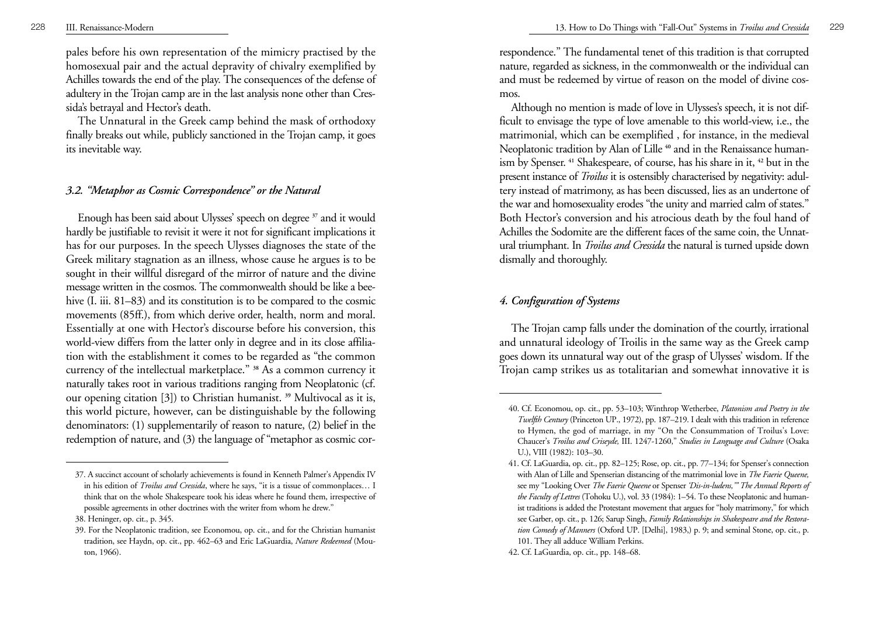pales before his own representation of the mimicry practised by the homosexual pair and the actual depravity of chivalry exemplified by Achilles towards the end of the play. The consequences of the defense of adultery in the Trojan camp are in the last analysis none other than Cressida's betrayal and Hector's death.

The Unnatural in the Greek camp behind the mask of orthodoxy finally breaks out while, publicly sanctioned in the Trojan camp, it goes its inevitable way.

### *3.2. "Metaphor as Cosmic Correspondence" or the Natural*

Enough has been said about Ulysses' speech on degree **<sup>37</sup>** and it would hardly be justifiable to revisit it were it not for significant implications it has for our purposes. In the speech Ulysses diagnoses the state of the Greek military stagnation as an illness, whose cause he argues is to be sought in their willful disregard of the mirror of nature and the divine message written in the cosmos. The commonwealth should be like a beehive (I. iii. 81–83) and its constitution is to be compared to the cosmic movements (85ff.), from which derive order, health, norm and moral. Essentially at one with Hector's discourse before his conversion, this world-view differs from the latter only in degree and in its close affiliation with the establishment it comes to be regarded as "the common currency of the intellectual marketplace." **<sup>38</sup>** As a common currency it naturally takes root in various traditions ranging from Neoplatonic (cf. our opening citation [3]) to Christian humanist. **<sup>39</sup>** Multivocal as it is, this world picture, however, can be distinguishable by the following denominators: (1) supplementarily of reason to nature, (2) belief in the redemption of nature, and (3) the language of "metaphor as cosmic correspondence." The fundamental tenet of this tradition is that corrupted nature, regarded as sickness, in the commonwealth or the individual can and must be redeemed by virtue of reason on the model of divine cosmos.

Although no mention is made of love in Ulysses's speech, it is not difficult to envisage the type of love amenable to this world-view, i.e., the matrimonial, which can be exemplified , for instance, in the medieval Neoplatonic tradition by Alan of Lille **<sup>40</sup>** and in the Renaissance humanism by Spenser. **<sup>41</sup>** Shakespeare, of course, has his share in it, **<sup>42</sup>** but in the present instance of *Troilus* it is ostensibly characterised by negativity: adultery instead of matrimony, as has been discussed, lies as an undertone of the war and homosexuality erodes "the unity and married calm of states." Both Hector's conversion and his atrocious death by the foul hand of Achilles the Sodomite are the different faces of the same coin, the Unnatural triumphant. In *Troilus and Cressida* the natural is turned upside down dismally and thoroughly.

# *4. Configuration of Systems*

The Trojan camp falls under the domination of the courtly, irrational and unnatural ideology of Troilis in the same way as the Greek camp goes down its unnatural way out of the grasp of Ulysses' wisdom. If the Trojan camp strikes us as totalitarian and somewhat innovative it is

<sup>37.</sup> A succinct account of scholarly achievements is found in Kenneth Palmer's Appendix IV in his edition of *Troilus and Cressida*, where he says, "it is a tissue of commonplaces… I think that on the whole Shakespeare took his ideas where he found them, irrespective of possible agreements in other doctrines with the writer from whom he drew."

<sup>38.</sup> Heninger, op. cit., p. 345.

<sup>39.</sup> For the Neoplatonic tradition, see Economou, op. cit., and for the Christian humanist tradition, see Haydn, op. cit., pp. 462–63 and Eric LaGuardia, *Nature Redeemed* (Mouton, 1966).

<sup>40.</sup> Cf. Economou, op. cit., pp. 53–103; Winthrop Wetherbee, *Platonism and Poetry in the Twelfth Century* (Princeton UP., 1972), pp. 187–219. I dealt with this tradition in reference to Hymen, the god of marriage, in my "On the Consummation of Troilus's Love: Chaucer's *Troilus and Criseyde,* III. 1247-1260," *Studies in Language and Culture* (Osaka U.), VIII (1982): 103–30.

<sup>41.</sup> Cf. LaGuardia, op. cit., pp. 82–125; Rose, op. cit., pp. 77–134; for Spenser's connection with Alan of Lille and Spenserian distancing of the matrimonial love in *The Faerie Queene,* see my "Looking Over *The Faerie Queene* or Spenser *'Dis-in-ludens,'" The Annual Reports of the Faculty of Lettres* (Tohoku U.), vol. 33 (1984): 1–54. To these Neoplatonic and humanist traditions is added the Protestant movement that argues for "holy matrimony," for which see Garber, op. cit., p. 126; Sarup Singh, *Family Relationships in Shakespeare and the Restoration Comedy of Manners* (Oxford UP. [Delhi], 1983,) p. 9; and seminal Stone, op. cit., p. 101. They all adduce William Perkins.

<sup>42.</sup> Cf. LaGuardia, op. cit., pp. 148–68.